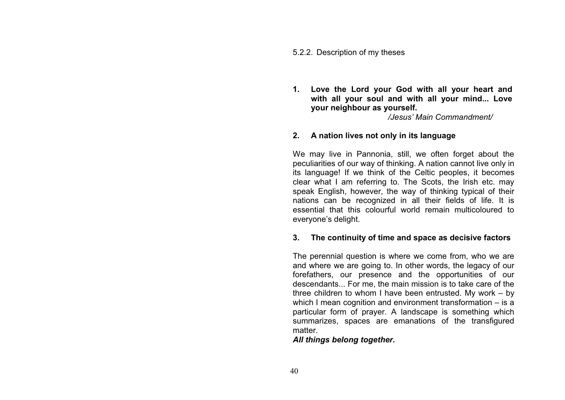#### 5.2.2. Description of my theses

**1. Love the Lord your God with all your heart and with all your soul and with all your mind... Love your neighbour as yourself.**

*/Jesus' Main Commandment/*

### **2. A nation lives not only in its language**

We may live in Pannonia, still, we often forget about the peculiarities of our way of thinking. A nation cannot live only in its language! If we think of the Celtic peoples, it becomes clear what I am referring to. The Scots, the Irish etc. may speak English, however, the way of thinking typical of their nations can be recognized in all their fields of life. It is essential that this colourful world remain multicoloured to everyone's delight.

### **3. The continuity of time and space as decisive factors**

The perennial question is where we come from, who we are and where we are going to. In other words, the legacy of our forefathers, our presence and the opportunities of our descendants... For me, the main mission is to take care of the three children to whom I have been entrusted. My work – by which I mean cognition and environment transformation – is a particular form of prayer. A landscape is something which summarizes, spaces are emanations of the transfigured matter.

# *All things belong together.*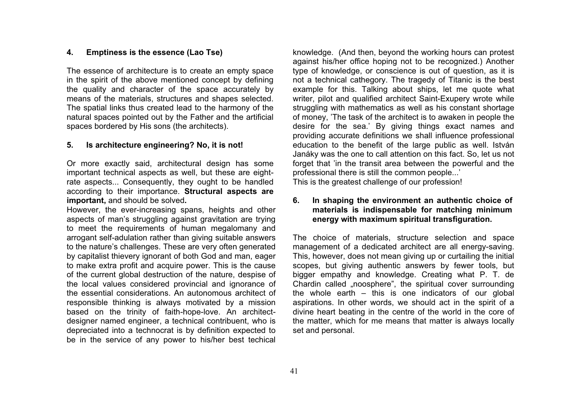## **4. Emptiness is the essence (Lao Tse)**

The essence of architecture is to create an empty space in the spirit of the above mentioned concept by defining the quality and character of the space accurately by means of the materials, structures and shapes selected. The spatial links thus created lead to the harmony of the natural spaces pointed out by the Father and the artificial spaces bordered by His sons (the architects).

#### **5. Is architecture engineering? No, it is not!**

Or more exactly said, architectural design has some important technical aspects as well, but these are eightrate aspects... Consequently, they ought to be handled according to their importance. **Structural aspects are important,** and should be solved**.**

However, the ever-increasing spans, heights and other aspects of man's struggling against gravitation are trying to meet the requirements of human megalomany and arrogant self-adulation rather than giving suitable answers to the nature's challenges. These are very often generated by capitalist thievery ignorant of both God and man, eager to make extra profit and acquire power. This is the cause of the current global destruction of the nature, despise of the local values considered provincial and ignorance of the essential considerations. An autonomous architect of responsible thinking is always motivated by a mission based on the trinity of faith-hope-love. An architectdesigner named engineer, a technical contribuent, who is depreciated into a technocrat is by definition expected to be in the service of any power to his/her best techical

knowledge. (And then, beyond the working hours can protest against his/her office hoping not to be recognized.) Another type of knowledge, or conscience is out of question, as it is not a technical cathegory. The tragedy of Titanic is the best example for this. Talking about ships, let me quote what writer, pilot and qualified architect Saint-Exupery wrote while struggling with mathematics as well as his constant shortage of money, 'The task of the architect is to awaken in people the desire for the sea.' By giving things exact names and providing accurate definitions we shall influence professional education to the benefit of the large public as well. István Janáky was the one to call attention on this fact. So, let us not forget that 'in the transit area between the powerful and the professional there is still the common people...' This is the greatest challenge of our profession!

## **6. In shaping the environment an authentic choice of materials is indispensable for matching minimum energy with maximum spiritual transfiguration.**

The choice of materials, structure selection and space management of a dedicated architect are all energy-saving. This, however, does not mean giving up or curtailing the initial scopes, but giving authentic answers by fewer tools, but bigger empathy and knowledge. Creating what P. T. de Chardin called "noosphere", the spiritual cover surrounding the whole earth – this is one indicators of our global aspirations. In other words, we should act in the spirit of a divine heart beating in the centre of the world in the core of the matter, which for me means that matter is always locally set and personal.